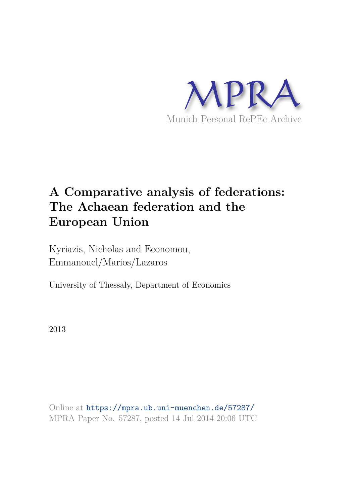

# **A Comparative analysis of federations: The Achaean federation and the European Union**

Kyriazis, Nicholas and Economou, Emmanouel/Marios/Lazaros

University of Thessaly, Department of Economics

2013

Online at https://mpra.ub.uni-muenchen.de/57287/ MPRA Paper No. 57287, posted 14 Jul 2014 20:06 UTC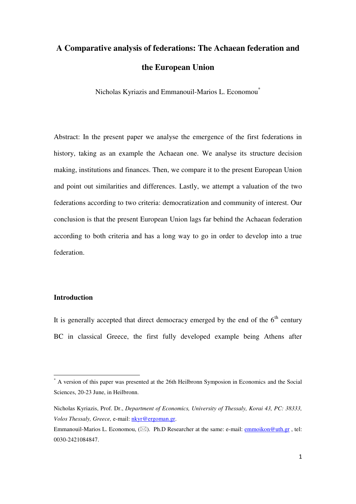## **A Comparative analysis of federations: The Achaean federation and the European Union**

Nicholas Kyriazis and Emmanouil-Marios L. Economou\*

Abstract: In the present paper we analyse the emergence of the first federations in history, taking as an example the Achaean one. We analyse its structure decision making, institutions and finances. Then, we compare it to the present European Union and point out similarities and differences. Lastly, we attempt a valuation of the two federations according to two criteria: democratization and community of interest. Our conclusion is that the present European Union lags far behind the Achaean federation according to both criteria and has a long way to go in order to develop into a true federation.

## **Introduction**

 $\overline{a}$ 

It is generally accepted that direct democracy emerged by the end of the  $6<sup>th</sup>$  century BC in classical Greece, the first fully developed example being Athens after

<sup>\*</sup> A version of this paper was presented at the 26th Heilbronn Symposion in Economics and the Social Sciences, 20-23 June, in Heilbronn.

Nicholas Kyriazis, Prof. Dr., *Department of Economics, University of Thessaly, Korai 43, PC: 38333, Volos Thessaly, Greece,* e-mail: [nkyr@ergoman.gr.](mailto:nkyr@ergoman.gr)

Emmanouil-Marios L. Economou,  $(\boxtimes)$ . Ph.D Researcher at the same: e-mail: emmoikon@uth.gr, tel: 0030-2421084847.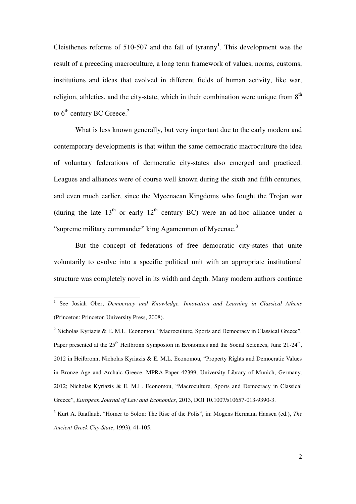Cleisthenes reforms of 510-507 and the fall of tyranny<sup>1</sup>. This development was the result of a preceding macroculture, a long term framework of values, norms, customs, institutions and ideas that evolved in different fields of human activity, like war, religion, athletics, and the city-state, which in their combination were unique from  $8<sup>th</sup>$ to  $6<sup>th</sup>$  century BC Greece.<sup>2</sup>

 What is less known generally, but very important due to the early modern and contemporary developments is that within the same democratic macroculture the idea of voluntary federations of democratic city-states also emerged and practiced. Leagues and alliances were of course well known during the sixth and fifth centuries, and even much earlier, since the Mycenaean Kingdoms who fought the Trojan war (during the late  $13<sup>th</sup>$  or early  $12<sup>th</sup>$  century BC) were an ad-hoc alliance under a "supreme military commander" king Agamemnon of Mycenae.<sup>3</sup>

 But the concept of federations of free democratic city-states that unite voluntarily to evolve into a specific political unit with an appropriate institutional structure was completely novel in its width and depth. Many modern authors continue

<sup>&</sup>lt;sup>1</sup> See Josiah Ober, *Democracy and Knowledge. Innovation and Learning in Classical Athens* (Princeton: Princeton University Press, 2008).

<sup>&</sup>lt;sup>2</sup> Nicholas Kyriazis & E. M.L. Economou, "Macroculture, Sports and Democracy in Classical Greece". Paper presented at the 25<sup>th</sup> Heilbronn Symposion in Economics and the Social Sciences, June 21-24<sup>th</sup>, 2012 in Heilbronn; Nicholas Kyriazis & E. M.L. Economou, "Property Rights and Democratic Values in Bronze Age and Archaic Greece. MPRA Paper 42399, University Library of Munich, Germany, 2012; Nicholas Kyriazis & E. M.L. Economou, "Macroculture, Sports and Democracy in Classical Greece", *European Journal of Law and Economics*, 2013, DOI 10.1007/s10657-013-9390-3.

<sup>3</sup> Kurt A. Raaflaub, "Homer to Solon: The Rise of the Polis", in: Mogens Hermann Hansen (ed.), *The Ancient Greek City-State*, 1993), 41-105.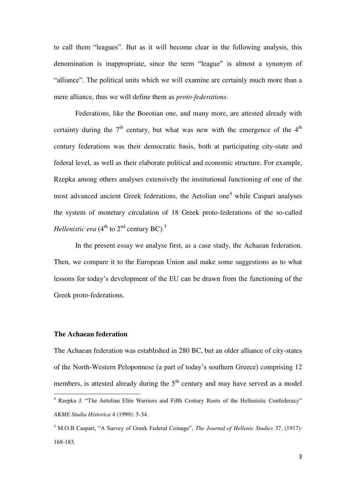to call them "leagues". But as it will become clear in the following analysis, this denomination is inappropriate, since the term "league" is almost a synonym of "alliance". The political units which we will examine are certainly much more than a mere alliance, thus we will define them as *proto-federations*.

 Federations, like the Boeotian one, and many more, are attested already with certainty during the  $7<sup>th</sup>$  century, but what was new with the emergence of the  $4<sup>th</sup>$ century federations was their democratic basis, both at participating city-state and federal level, as well as their elaborate political and economic structure. For example, Rzepka among others analyses extensively the institutional functioning of one of the most advanced ancient Greek federations, the Aetolian one<sup>4</sup> while Caspari analyses the system of monetary circulation of 18 Greek proto-federations of the so-called *Hellenistic era* (4<sup>th</sup> to 2<sup>nd</sup> century BC).<sup>5</sup>

 In the present essay we analyse first, as a case study, the Achaean federation. Then, we compare it to the European Union and make some suggestions as to what lessons for today's development of the EU can be drawn from the functioning of the Greek proto-federations.

#### **The Achaean federation**

 $\overline{a}$ 

The Achaean federation was established in 280 BC, but an older alliance of city-states of the North-Western Peloponnese (a part of today's southern Greece) comprising 12 members, is attested already during the  $5<sup>th</sup>$  century and may have served as a model

<sup>4</sup> Rzepka J. "The Aetolian Elite Warriors and Fifth Century Roots of the Hellenistic Confederacy" *AKME Studia Historica* 4 (1999): 5-34.

<sup>5</sup> M.O.B Caspari, "A Survey of Greek Federal Coinage", *The Journal of Hellenic Studies* 37, (1917): 168-183.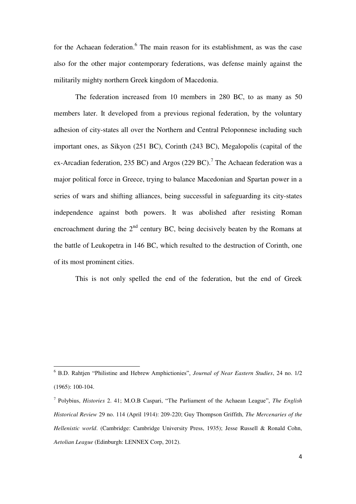for the Achaean federation.<sup>6</sup> The main reason for its establishment, as was the case also for the other major contemporary federations, was defense mainly against the militarily mighty northern Greek kingdom of Macedonia.

 The federation increased from 10 members in 280 BC, to as many as 50 members later. It developed from a previous regional federation, by the voluntary adhesion of city-states all over the Northern and Central Peloponnese including such important ones, as Sikyon (251 BC), Corinth (243 BC), Megalopolis (capital of the ex-Arcadian federation, 235 BC) and Argos (229 BC).<sup>7</sup> The Achaean federation was a major political force in Greece, trying to balance Macedonian and Spartan power in a series of wars and shifting alliances, being successful in safeguarding its city-states independence against both powers. It was abolished after resisting Roman encroachment during the  $2<sup>nd</sup>$  century BC, being decisively beaten by the Romans at the battle of Leukopetra in 146 BC, which resulted to the destruction of Corinth, one of its most prominent cities.

This is not only spelled the end of the federation, but the end of Greek

<sup>6</sup> B.D. Rahtjen "Philistine and Hebrew Amphictionies", *Journal of Near Eastern Studies*, 24 no. 1/2 (1965): 100-104.

<sup>7</sup> Polybius, *Histories* 2. 41; M.O.B Caspari, "The Parliament of the Achaean League", *The English Historical Review* 29 no. 114 (April 1914): 209-220; Guy Thompson Griffith, *The Mercenaries of the Hellenistic world*. (Cambridge: Cambridge University Press, 1935); Jesse Russell & Ronald Cohn, *Aetolian League* (Edinburgh: LENNEX Corp, 2012).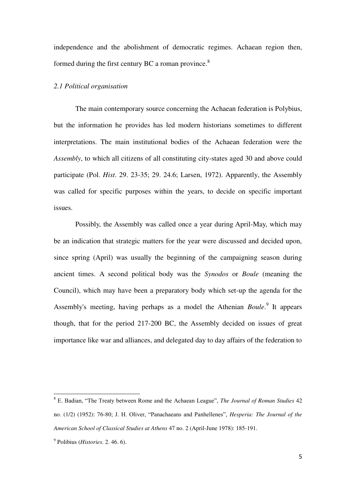independence and the abolishment of democratic regimes. Achaean region then, formed during the first century BC a roman province. $8$ 

#### *2.1 Political organisation*

The main contemporary source concerning the Achaean federation is Polybius, but the information he provides has led modern historians sometimes to different interpretations. The main institutional bodies of the Achaean federation were the *Assembly*, to which all citizens of all constituting city-states aged 30 and above could participate (Pol. *Hist*. 29. 23-35; 29. 24.6; Larsen, 1972). Apparently, the Assembly was called for specific purposes within the years, to decide on specific important issues.

 Possibly, the Assembly was called once a year during April-May, which may be an indication that strategic matters for the year were discussed and decided upon, since spring (April) was usually the beginning of the campaigning season during ancient times. A second political body was the *Synodos* or *Boule* (meaning the Council), which may have been a preparatory body which set-up the agenda for the Assembly's meeting, having perhaps as a model the Athenian *Boule*.<sup>9</sup> It appears though, that for the period 217-200 BC, the Assembly decided on issues of great importance like war and alliances, and delegated day to day affairs of the federation to

<sup>8</sup> E. Badian, "The Treaty between Rome and the Achaean League", *The Journal of Roman Studies* 42 no. (1/2) (1952): 76-80; J. H. Oliver, "Panachaeans and Panhellenes", *Hesperia: The Journal of the American School of Classical Studies at Athens* 47 no. 2 (April-June 1978): 185-191.

<sup>9</sup> Polibius (*Histories*. 2. 46. 6).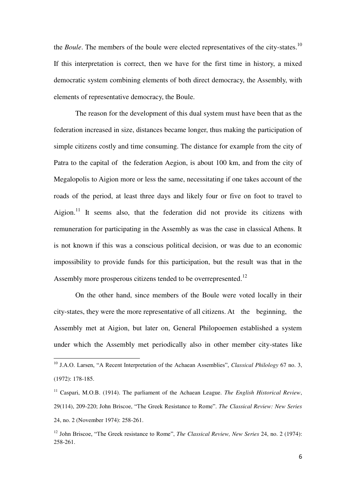the *Boule*. The members of the boule were elected representatives of the city-states.<sup>10</sup> If this interpretation is correct, then we have for the first time in history, a mixed democratic system combining elements of both direct democracy, the Assembly, with elements of representative democracy, the Boule.

 The reason for the development of this dual system must have been that as the federation increased in size, distances became longer, thus making the participation of simple citizens costly and time consuming. The distance for example from the city of Patra to the capital of the federation Aegion, is about 100 km, and from the city of Megalopolis to Aigion more or less the same, necessitating if one takes account of the roads of the period, at least three days and likely four or five on foot to travel to Aigion.<sup>11</sup> It seems also, that the federation did not provide its citizens with remuneration for participating in the Assembly as was the case in classical Athens. It is not known if this was a conscious political decision, or was due to an economic impossibility to provide funds for this participation, but the result was that in the Assembly more prosperous citizens tended to be overrepresented.<sup>12</sup>

 On the other hand, since members of the Boule were voted locally in their city-states, they were the more representative of all citizens. At the beginning, the Assembly met at Aigion, but later on, General Philopoemen established a system under which the Assembly met periodically also in other member city-states like

<sup>10</sup> J.A.O. Larsen, "A Recent Interpretation of the Achaean Assemblies", *Classical Philology* 67 no. 3, (1972): 178-185.

<sup>&</sup>lt;sup>11</sup> Caspari, M.O.B. (1914). The parliament of the Achaean League. *The English Historical Review*, 29(114), 209-220; John Βriscoe, "The Greek Resistance to Rome". *The Classical Review: New Series* 24, no. 2 (November 1974): 258-261.

<sup>&</sup>lt;sup>12</sup> John Briscoe, "The Greek resistance to Rome", *The Classical Review, New Series* 24, no. 2 (1974): 258-261.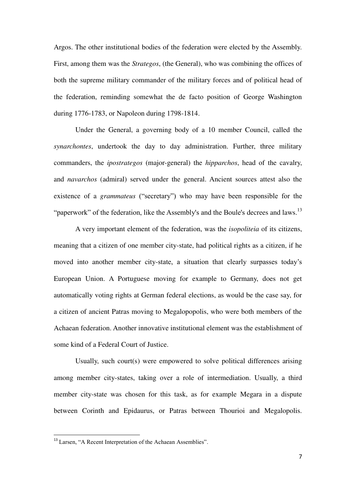Argos. The other institutional bodies of the federation were elected by the Assembly. First, among them was the *Strategos*, (the General), who was combining the offices of both the supreme military commander of the military forces and of political head of the federation, reminding somewhat the de facto position of George Washington during 1776-1783, or Napoleon during 1798-1814.

 Under the General, a governing body of a 10 member Council, called the *synarchontes*, undertook the day to day administration. Further, three military commanders, the *ipostrategos* (major-general) the *hipparchos*, head of the cavalry, and *navarchos* (admiral) served under the general. Ancient sources attest also the existence of a *grammateus* ("secretary") who may have been responsible for the "paperwork" of the federation, like the Assembly's and the Boule's decrees and laws.<sup>13</sup>

 A very important element of the federation, was the *isopoliteia* of its citizens, meaning that a citizen of one member city-state, had political rights as a citizen, if he moved into another member city-state, a situation that clearly surpasses today's European Union. A Portuguese moving for example to Germany, does not get automatically voting rights at German federal elections, as would be the case say, for a citizen of ancient Patras moving to Megalopopolis, who were both members of the Achaean federation. Another innovative institutional element was the establishment of some kind of a Federal Court of Justice.

 Usually, such court(s) were empowered to solve political differences arising among member city-states, taking over a role of intermediation. Usually, a third member city-state was chosen for this task, as for example Megara in a dispute between Corinth and Epidaurus, or Patras between Thourioi and Megalopolis.

<sup>&</sup>lt;sup>13</sup> Larsen, "A Recent Interpretation of the Achaean Assemblies".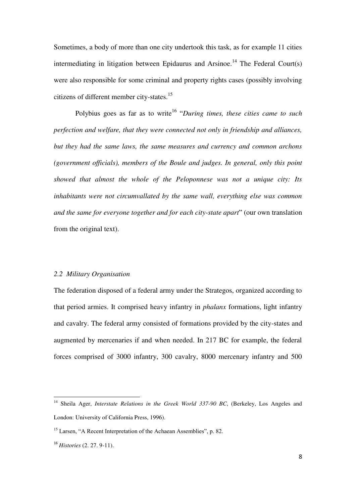Sometimes, a body of more than one city undertook this task, as for example 11 cities intermediating in litigation between Epidaurus and Arsinoe.<sup>14</sup> The Federal Court(s) were also responsible for some criminal and property rights cases (possibly involving citizens of different member city-states.<sup>15</sup>

Polybius goes as far as to write<sup>16</sup> "During times, these cities came to such *perfection and welfare, that they were connected not only in friendship and alliances, but they had the same laws, the same measures and currency and common archons (government officials), members of the Boule and judges. In general, only this point showed that almost the whole of the Peloponnese was not a unique city: Its inhabitants were not circumvallated by the same wall, everything else was common and the same for everyone together and for each city-state apart*" (our own translation from the original text).

## *2.2 Military Organisation*

The federation disposed of a federal army under the Strategos, organized according to that period armies. It comprised heavy infantry in *phalanx* formations, light infantry and cavalry. The federal army consisted of formations provided by the city-states and augmented by mercenaries if and when needed. In 217 BC for example, the federal forces comprised of 3000 infantry, 300 cavalry, 8000 mercenary infantry and 500

<sup>&</sup>lt;sup>14</sup> Sheila Ager, *Interstate Relations in the Greek World 337-90 BC*, (Berkeley, Los Angeles and London: University of California Press, 1996).

<sup>&</sup>lt;sup>15</sup> Larsen, "A Recent Interpretation of the Achaean Assemblies", p. 82.

<sup>16</sup> *Histories* (2. 27. 9-11).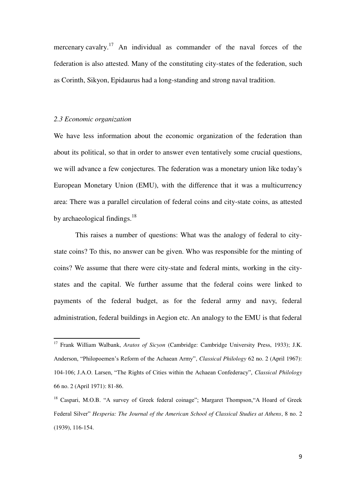mercenary cavalry.<sup>17</sup> An individual as commander of the naval forces of the federation is also attested. Many of the constituting city-states of the federation, such as Corinth, Sikyon, Epidaurus had a long-standing and strong naval tradition.

#### *2.3 Economic organization*

 $\overline{a}$ 

We have less information about the economic organization of the federation than about its political, so that in order to answer even tentatively some crucial questions, we will advance a few conjectures. The federation was a monetary union like today's European Monetary Union (EMU), with the difference that it was a multicurrency area: There was a parallel circulation of federal coins and city-state coins, as attested by archaeological findings.<sup>18</sup>

 This raises a number of questions: What was the analogy of federal to citystate coins? To this, no answer can be given. Who was responsible for the minting of coins? We assume that there were city-state and federal mints, working in the citystates and the capital. We further assume that the federal coins were linked to payments of the federal budget, as for the federal army and navy, federal administration, federal buildings in Aegion etc. An analogy to the EMU is that federal

<sup>17</sup> Frank William Walbank, *Aratos of Sicyon* (Cambridge: Cambridge University Press, 1933); J.K. Anderson, "Philopoemen's Reform of the Achaean Army", *Classical Philology* 62 no. 2 (April 1967): 104-106; J.A.O. Larsen, "The Rights of Cities within the Achaean Confederacy", *Classical Philology* 66 no. 2 (April 1971): 81-86.

<sup>18</sup> Caspari, M.O.B. "A survey of Greek federal coinage"; Margaret Τhompson,"A Hoard of Greek Federal Silver" *Hesperia: The Journal of the American School of Classical Studies at Athens*, 8 no. 2 (1939), 116-154.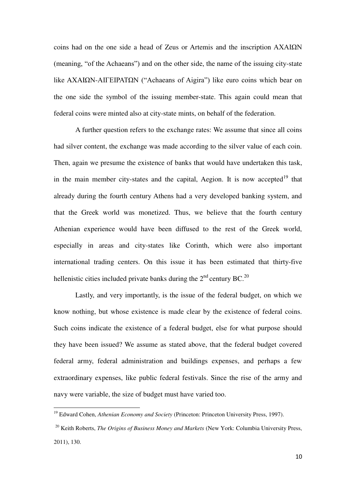coins had on the one side a head of Zeus or Artemis and the inscription ΑΧΑΙΩΝ (meaning, "of the Achaeans") and on the other side, the name of the issuing city-state like AXAIΩΝ-ΑΙΓΕΙΡΑΤΩΝ ("Achaeans of Aigira") like euro coins which bear on the one side the symbol of the issuing member-state. This again could mean that federal coins were minted also at city-state mints, on behalf of the federation.

 A further question refers to the exchange rates: We assume that since all coins had silver content, the exchange was made according to the silver value of each coin. Then, again we presume the existence of banks that would have undertaken this task, in the main member city-states and the capital, Aegion. It is now accepted<sup>19</sup> that already during the fourth century Athens had a very developed banking system, and that the Greek world was monetized. Thus, we believe that the fourth century Athenian experience would have been diffused to the rest of the Greek world, especially in areas and city-states like Corinth, which were also important international trading centers. On this issue it has been estimated that thirty-five hellenistic cities included private banks during the  $2<sup>nd</sup>$  century BC.<sup>20</sup>

Lastly, and very importantly, is the issue of the federal budget, on which we know nothing, but whose existence is made clear by the existence of federal coins. Such coins indicate the existence of a federal budget, else for what purpose should they have been issued? We assume as stated above, that the federal budget covered federal army, federal administration and buildings expenses, and perhaps a few extraordinary expenses, like public federal festivals. Since the rise of the army and navy were variable, the size of budget must have varied too.

<sup>&</sup>lt;sup>19</sup> Edward Cohen, *Athenian Economy and Society* (Princeton: Princeton University Press, 1997).

<sup>20</sup> Keith Roberts, *The Origins of Business Money and Markets* (New York: Columbia University Press, 2011), 130.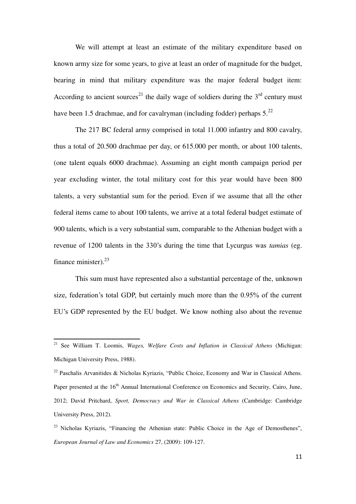We will attempt at least an estimate of the military expenditure based on known army size for some years, to give at least an order of magnitude for the budget, bearing in mind that military expenditure was the major federal budget item: According to ancient sources<sup>21</sup> the daily wage of soldiers during the  $3<sup>rd</sup>$  century must have been 1.5 drachmae, and for cavalryman (including fodder) perhaps  $5.^{22}$ 

 The 217 BC federal army comprised in total 11.000 infantry and 800 cavalry, thus a total of 20.500 drachmae per day, or 615.000 per month, or about 100 talents, (one talent equals 6000 drachmae). Assuming an eight month campaign period per year excluding winter, the total military cost for this year would have been 800 talents, a very substantial sum for the period. Even if we assume that all the other federal items came to about 100 talents, we arrive at a total federal budget estimate of 900 talents, which is a very substantial sum, comparable to the Athenian budget with a revenue of 1200 talents in the 330's during the time that Lycurgus was *tamias* (eg. finance minister). $^{23}$ 

 This sum must have represented also a substantial percentage of the, unknown size, federation's total GDP, but certainly much more than the 0.95% of the current EU's GDP represented by the EU budget. We know nothing also about the revenue

<sup>21</sup> See William T. Loomis, *Wages, Welfare Costs and Inflation in Classical Athens* (Michigan: Michigan University Press, 1988).

<sup>&</sup>lt;sup>22</sup> Paschalis Arvanitides & Nicholas Kyriazis, "Public Choice, Economy and War in Classical Athens. Paper presented at the 16<sup>th</sup> Annual International Conference on Economics and Security, Cairo, June, 2012; David Pritchard, *Sport, Democracy and War in Classical Athens* (Cambridge: Cambridge University Press, 2012).

<sup>&</sup>lt;sup>23</sup> Nicholas Kyriazis, "Financing the Athenian state: Public Choice in the Age of Demosthenes", *European Journal of Law and Economics* 27, (2009): 109-127.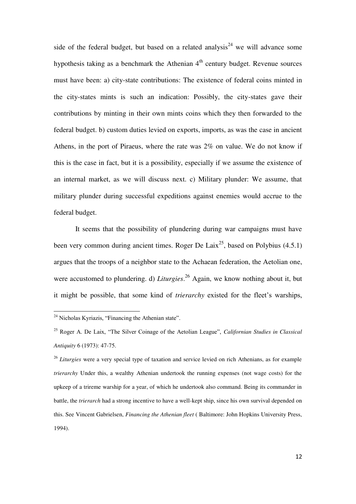side of the federal budget, but based on a related analysis<sup>24</sup> we will advance some hypothesis taking as a benchmark the Athenian  $4<sup>th</sup>$  century budget. Revenue sources must have been: a) city-state contributions: The existence of federal coins minted in the city-states mints is such an indication: Possibly, the city-states gave their contributions by minting in their own mints coins which they then forwarded to the federal budget. b) custom duties levied on exports, imports, as was the case in ancient Athens, in the port of Piraeus, where the rate was 2% on value. We do not know if this is the case in fact, but it is a possibility, especially if we assume the existence of an internal market, as we will discuss next. c) Military plunder: We assume, that military plunder during successful expeditions against enemies would accrue to the federal budget.

 It seems that the possibility of plundering during war campaigns must have been very common during ancient times. Roger De Laix<sup>25</sup>, based on Polybius  $(4.5.1)$ argues that the troops of a neighbor state to the Achaean federation, the Aetolian one, were accustomed to plundering. d) *Liturgies*. <sup>26</sup> Again, we know nothing about it, but it might be possible, that some kind of *trierarchy* existed for the fleet's warships,

<sup>&</sup>lt;sup>24</sup> Nicholas Kyriazis, "Financing the Athenian state".

<sup>25</sup> Roger A. De Laix, "The Silver Coinage of the Aetolian League", *Californian Studies in Classical Antiquity* 6 (1973): 47-75.

<sup>26</sup> *Liturgies* were a very special type of taxation and service levied on rich Athenians, as for example *trierarchy* Under this, a wealthy Athenian undertook the running expenses (not wage costs) for the upkeep of a trireme warship for a year, of which he undertook also command. Being its commander in battle, the *trierarch* had a strong incentive to have a well-kept ship, since his own survival depended on this. See Vincent Gabrielsen, *Financing the Athenian fleet* ( Baltimore: John Hopkins University Press, 1994).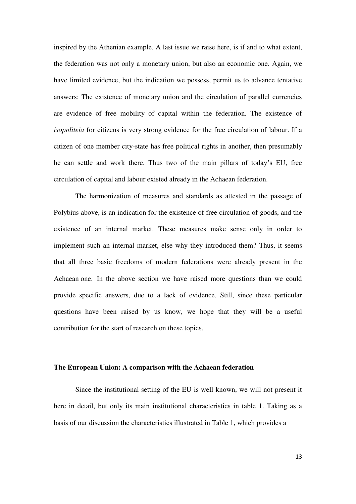inspired by the Athenian example. A last issue we raise here, is if and to what extent, the federation was not only a monetary union, but also an economic one. Again, we have limited evidence, but the indication we possess, permit us to advance tentative answers: The existence of monetary union and the circulation of parallel currencies are evidence of free mobility of capital within the federation. The existence of *isopoliteia* for citizens is very strong evidence for the free circulation of labour. If a citizen of one member city-state has free political rights in another, then presumably he can settle and work there. Thus two of the main pillars of today's EU, free circulation of capital and labour existed already in the Achaean federation.

 The harmonization of measures and standards as attested in the passage of Polybius above, is an indication for the existence of free circulation of goods, and the existence of an internal market. These measures make sense only in order to implement such an internal market, else why they introduced them? Thus, it seems that all three basic freedoms of modern federations were already present in the Achaean one. In the above section we have raised more questions than we could provide specific answers, due to a lack of evidence. Still, since these particular questions have been raised by us know, we hope that they will be a useful contribution for the start of research on these topics.

#### **The European Union: A comparison with the Achaean federation**

Since the institutional setting of the EU is well known, we will not present it here in detail, but only its main institutional characteristics in table 1. Taking as a basis of our discussion the characteristics illustrated in Table 1, which provides a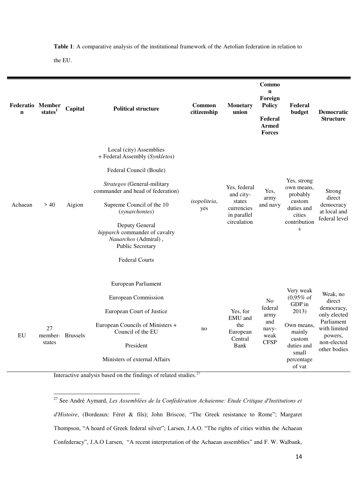**Table 1**: A comparative analysis of the institutional framework of the Aetolian federation in relation to

the EU.

 $\overline{a}$ 

| <b>Federatio Member</b><br>$\mathbf n$ | state <sup>1</sup>               | Capital | <b>Political structure</b>                                                                                                                                                                                                                                                                                                      | <b>Common</b><br>citizenship | <b>Monetary</b><br>union                                                        | Commo<br>$\mathbf n$<br>Foreign<br><b>Policy</b><br>Federal<br><b>Armed</b><br><b>Forces</b> | Federal<br>budget                                                                                                                      | <b>Democratic</b><br><b>Structure</b>                                                                                    |
|----------------------------------------|----------------------------------|---------|---------------------------------------------------------------------------------------------------------------------------------------------------------------------------------------------------------------------------------------------------------------------------------------------------------------------------------|------------------------------|---------------------------------------------------------------------------------|----------------------------------------------------------------------------------------------|----------------------------------------------------------------------------------------------------------------------------------------|--------------------------------------------------------------------------------------------------------------------------|
| Achaean                                | > 40                             | Aigion  | Local (city) Assemblies<br>+ Federal Assembly (Synkletos)<br>Federal Council (Boule)<br>Strategos (General-military<br>commander and head of federation)<br>Supreme Council of the 10<br>(synarchontes)<br>Deputy General<br>hipparch commander of cavalry<br>Nauarchos (Admiral),<br>Public Secretary<br><b>Federal Courts</b> | isopoliteia,<br>yes          | Yes, federal<br>and city-<br>states<br>currencies<br>in parallel<br>circulation | Yes,<br>army<br>and navy                                                                     | Yes, strong<br>own means,<br>probably<br>custom<br>duties and<br>cities<br>contribution<br>${\bf S}$                                   | Strong<br>direct<br>democracy<br>at local and<br>federal level                                                           |
| ${\rm EU}$                             | 27<br>member- Brussels<br>states |         | European Parliament<br><b>European Commission</b><br>European Court of Justice<br>European Councils of Ministers +<br>Council of the EU<br>President<br>Ministers of external Affairs                                                                                                                                           | no                           | Yes, for<br>EMU and<br>the<br>European<br>Central<br>Bank                       | N <sub>0</sub><br>federal<br>army<br>and<br>navy-<br>weak<br><b>CFSP</b>                     | Very weak<br>$(0,95\% \text{ of }$<br>GDP in<br>2013)<br>Own means,<br>mainly<br>custom<br>duties and<br>small<br>percentage<br>of vat | Weak, no<br>direct<br>democracy,<br>only elected<br>Parliament<br>with limited<br>powers,<br>non-elected<br>other bodies |

Interactive analysis based on the findings of related studies.<sup>27</sup>

<sup>27</sup> See André Aymard, *d'Histoire*, (Bordeaux: Féret & fils); John Βriscoe, "The Greek resistance to Rome"; Margaret Τhompson, "A hoard of Greek federal silver"; Larsen, J.A.O. "The rights of cities within the Achaean Confederacy", J.A.O Larsen, "A recent interpretation of the Achaean assemblies" and F. W. Walbank,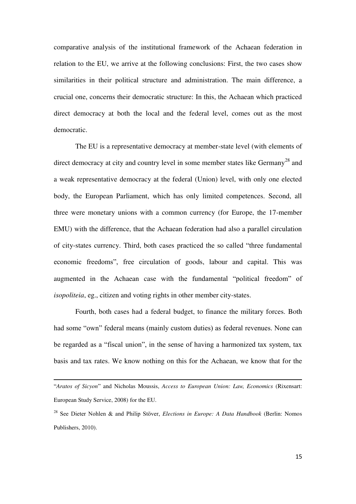comparative analysis of the institutional framework of the Achaean federation in relation to the EU, we arrive at the following conclusions: First, the two cases show similarities in their political structure and administration. The main difference, a crucial one, concerns their democratic structure: In this, the Achaean which practiced direct democracy at both the local and the federal level, comes out as the most democratic.

 The EU is a representative democracy at member-state level (with elements of direct democracy at city and country level in some member states like Germany<sup>28</sup> and a weak representative democracy at the federal (Union) level, with only one elected body, the European Parliament, which has only limited competences. Second, all three were monetary unions with a common currency (for Europe, the 17-member EMU) with the difference, that the Achaean federation had also a parallel circulation of city-states currency. Third, both cases practiced the so called "three fundamental economic freedoms", free circulation of goods, labour and capital. This was augmented in the Achaean case with the fundamental "political freedom" of *isopoliteia*, eg., citizen and voting rights in other member city-states.

 Fourth, both cases had a federal budget, to finance the military forces. Both had some "own" federal means (mainly custom duties) as federal revenues. None can be regarded as a "fiscal union", in the sense of having a harmonized tax system, tax basis and tax rates. We know nothing on this for the Achaean, we know that for the

<sup>&</sup>quot;*Aratos of Sicyon*" and Nicholas Moussis, *Access to European Union: Law, Economics* (Rixensart: European Study Service, 2008) for the EU.

<sup>28</sup> See Dieter Nohlen & and Philip Stöver, *Elections in Europe: A Data Handbook* (Berlin: Nomos Publishers, 2010).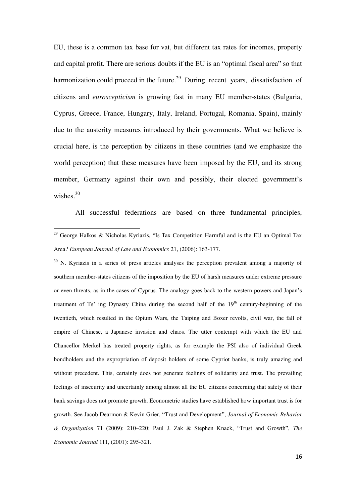EU, these is a common tax base for vat, but different tax rates for incomes, property and capital profit. There are serious doubts if the EU is an "optimal fiscal area" so that harmonization could proceed in the future.<sup>29</sup> During recent years, dissatisfaction of citizens and *euroscepticism* is growing fast in many EU member-states (Bulgaria, Cyprus, Greece, France, Hungary, Italy, Ireland, Portugal, Romania, Spain), mainly due to the austerity measures introduced by their governments. What we believe is crucial here, is the perception by citizens in these countries (and we emphasize the world perception) that these measures have been imposed by the EU, and its strong member, Germany against their own and possibly, their elected government's wishes. $30$ 

All successful federations are based on three fundamental principles,

 $\overline{a}$ 

<sup>30</sup> N. Kyriazis in a series of press articles analyses the perception prevalent among a majority of southern member-states citizens of the imposition by the EU of harsh measures under extreme pressure or even threats, as in the cases of Cyprus. The analogy goes back to the western powers and Japan's treatment of Ts' ing Dynasty China during the second half of the  $19<sup>th</sup>$  century-beginning of the twentieth, which resulted in the Opium Wars, the Taiping and Boxer revolts, civil war, the fall of empire of Chinese, a Japanese invasion and chaos. The utter contempt with which the EU and Chancellor Merkel has treated property rights, as for example the PSI also of individual Greek bondholders and the expropriation of deposit holders of some Cypriot banks, is truly amazing and without precedent. This, certainly does not generate feelings of solidarity and trust. The prevailing feelings of insecurity and uncertainly among almost all the EU citizens concerning that safety of their bank savings does not promote growth. Econometric studies have established how important trust is for growth. See Jacob Dearmon & Kevin Grier, "Trust and Development", *Journal of Economic Behavior & Organization* 71 (2009): 210–220; Paul J. Zak & Stephen Knack, "Trust and Growth", *The Economic Journal* 111, (2001): 295-321.

<sup>&</sup>lt;sup>29</sup> George Halkos & Nicholas Kyriazis, "Is Tax Competition Harmful and is the EU an Optimal Tax Area? *European Journal of Law and Economics* 21, (2006): 163-177.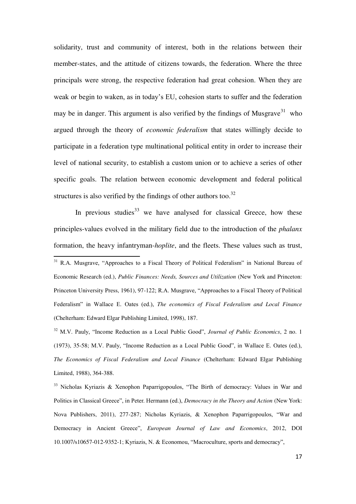solidarity, trust and community of interest, both in the relations between their member-states, and the attitude of citizens towards, the federation. Where the three principals were strong, the respective federation had great cohesion. When they are weak or begin to waken, as in today's EU, cohesion starts to suffer and the federation may be in danger. This argument is also verified by the findings of Musgrave<sup>31</sup> who argued through the theory of *economic federalism* that states willingly decide to participate in a federation type multinational political entity in order to increase their level of national security, to establish a custom union or to achieve a series of other specific goals. The relation between economic development and federal political structures is also verified by the findings of other authors too. $32$ 

In previous studies  $33$  we have analysed for classical Greece, how these principles-values evolved in the military field due to the introduction of the *phalanx* formation, the heavy infantryman-*hoplite*, and the fleets. These values such as trust,

 $\overline{a}$ 

<sup>31</sup> R.A. Musgrave, "Approaches to a Fiscal Theory of Political Federalism" in National Bureau of Economic Research (ed.), *Public Finances: Needs, Sources and Utilization* (New York and Princeton: Princeton University Press, 1961), 97-122; R.A. Musgrave, "Approaches to a Fiscal Theory of Political Federalism" in Wallace E. Oates (ed.), *The economics of Fiscal Federalism and Local Finance* (Chelterham: Edward Elgar Publishing Limited, 1998), 187.

<sup>32</sup> M.V. Pauly, "Income Reduction as a Local Public Good", *Journal of Public Economics*, 2 no. 1 (1973), 35-58; M.V. Pauly, "Income Reduction as a Local Public Good", in Wallace E. Oates (ed.), *The Economics of Fiscal Federalism and Local Finance* (Chelterham: Edward Elgar Publishing Limited, 1988), 364-388.

<sup>33</sup> Nicholas Kyriazis & Xenophon Paparrigopoulos, "The Birth of democracy: Values in War and Politics in Classical Greece", in Peter. Hermann (ed.), *Democracy in the Theory and Action* (New York: Nova Publishers, 2011), 277-287; Nicholas Kyriazis, & Xenophon Paparrigopoulos, "War and Democracy in Ancient Greece", *European Journal of Law and Economics*, 2012, DOI 10.1007/s10657-012-9352-1; Kyriazis, N. & Economou, "Macroculture, sports and democracy",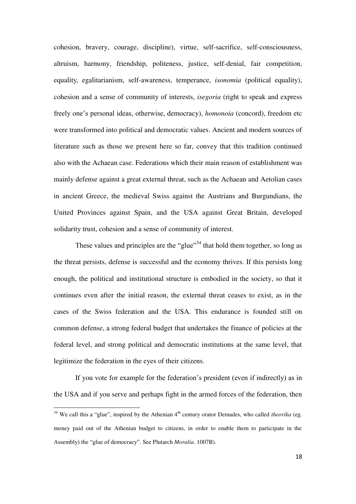cohesion, bravery, courage, discipline), virtue, self-sacrifice, self-consciousness, altruism, harmony, friendship, politeness, justice, self-denial, fair competition, equality, egalitarianism, self-awareness, temperance, *isonomia* (political equality), cohesion and a sense of community of interests, *isegoria* (right to speak and express freely one's personal ideas, otherwise, democracy), *homonoia* (concord), freedom etc were transformed into political and democratic values. Ancient and modern sources of literature such as those we present here so far, convey that this tradition continued also with the Achaean case. Federations which their main reason of establishment was mainly defense against a great external threat, such as the Achaean and Aetolian cases in ancient Greece, the medieval Swiss against the Austrians and Burgundians, the United Provinces against Spain, and the USA against Great Britain, developed solidarity trust, cohesion and a sense of community of interest.

These values and principles are the "glue"<sup>34</sup> that hold them together, so long as the threat persists, defense is successful and the economy thrives. If this persists long enough, the political and institutional structure is embodied in the society, so that it continues even after the initial reason, the external threat ceases to exist, as in the cases of the Swiss federation and the USA. This endurance is founded still on common defense, a strong federal budget that undertakes the finance of policies at the federal level, and strong political and democratic institutions at the same level, that legitimize the federation in the eyes of their citizens.

 If you vote for example for the federation's president (even if indirectly) as in the USA and if you serve and perhaps fight in the armed forces of the federation, then

 $34$  We call this a "glue", inspired by the Athenian  $4<sup>th</sup>$  century orator Demades, who called *theorika* (eg. money paid out of the Athenian budget to citizens, in order to enable them to participate in the Assembly) the "glue of democracy". See Plutarch *Moralia*. 1007B).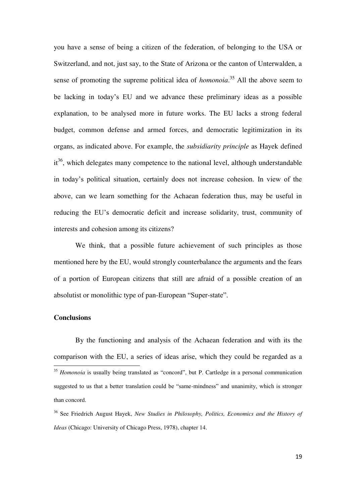you have a sense of being a citizen of the federation, of belonging to the USA or Switzerland, and not, just say, to the State of Arizona or the canton of Unterwalden, a sense of promoting the supreme political idea of *homonoia*. <sup>35</sup> All the above seem to be lacking in today's EU and we advance these preliminary ideas as a possible explanation, to be analysed more in future works. The EU lacks a strong federal budget, common defense and armed forces, and democratic legitimization in its organs, as indicated above. For example, the *subsidiarity principle* as Hayek defined it<sup>36</sup>, which delegates many competence to the national level, although understandable in today's political situation, certainly does not increase cohesion. In view of the above, can we learn something for the Achaean federation thus, may be useful in reducing the EU's democratic deficit and increase solidarity, trust, community of interests and cohesion among its citizens?

 We think, that a possible future achievement of such principles as those mentioned here by the EU, would strongly counterbalance the arguments and the fears of a portion of European citizens that still are afraid of a possible creation of an absolutist or monolithic type of pan-European "Super-state".

## **Conclusions**

 By the functioning and analysis of the Achaean federation and with its the comparison with the EU, a series of ideas arise, which they could be regarded as a  $\overline{a}$ <sup>35</sup> *Homonoia* is usually being translated as "concord", but P. Cartledge in a personal communication suggested to us that a better translation could be "same-mindness" and unanimity, which is stronger

than concord.

<sup>36</sup> See Friedrich August Hayek, *New Studies in Philosophy, Politics, Economics and the History of Ideas* (Chicago: University of Chicago Press, 1978), chapter 14.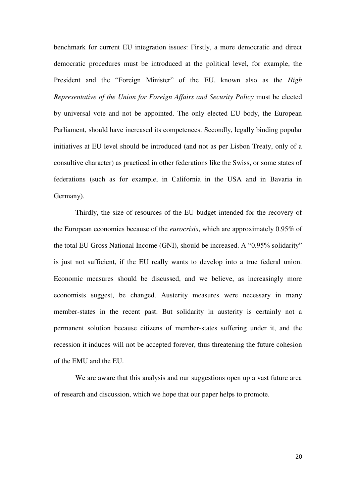benchmark for current EU integration issues: Firstly, a more democratic and direct democratic procedures must be introduced at the political level, for example, the President and the "Foreign Minister" of the EU, known also as the *High Representative of the Union for Foreign Affairs and Security Policy* must be elected by universal vote and not be appointed. The only elected EU body, the European Parliament, should have increased its competences. Secondly, legally binding popular initiatives at EU level should be introduced (and not as per Lisbon Treaty, only of a consultive character) as practiced in other federations like the Swiss, or some states of federations (such as for example, in California in the USA and in Bavaria in Germany).

 Thirdly, the size of resources of the EU budget intended for the recovery of the European economies because of the *eurocrisis*, which are approximately 0.95% of the total EU Gross National Income (GNI), should be increased. A "0.95% solidarity" is just not sufficient, if the EU really wants to develop into a true federal union. Economic measures should be discussed, and we believe, as increasingly more economists suggest, be changed. Austerity measures were necessary in many member-states in the recent past. But solidarity in austerity is certainly not a permanent solution because citizens of member-states suffering under it, and the recession it induces will not be accepted forever, thus threatening the future cohesion of the EMU and the EU.

We are aware that this analysis and our suggestions open up a vast future area of research and discussion, which we hope that our paper helps to promote.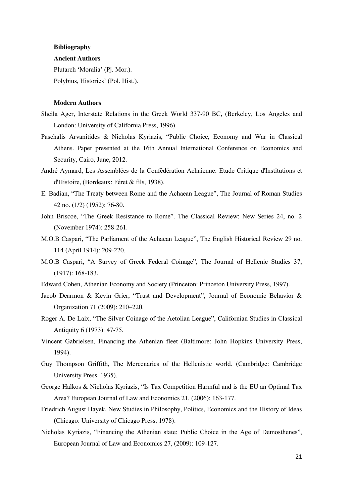#### **Bibliography**

#### **Ancient Authors**

Plutarch 'Moralia' (Pj. Mor.).

Polybius, Histories' (Pol. Hist.).

#### **Modern Authors**

- Sheila Ager, Interstate Relations in the Greek World 337-90 BC, (Berkeley, Los Angeles and London: University of California Press, 1996).
- Paschalis Arvanitides & Nicholas Kyriazis, "Public Choice, Economy and War in Classical Athens. Paper presented at the 16th Annual International Conference on Economics and Security, Cairo, June, 2012.
- André Aymard, Les Assemblées de la Confédération Achaienne: Etude Critique d'Institutions et d'Histoire, (Bordeaux: Féret & fils, 1938).
- E. Badian, "The Treaty between Rome and the Achaean League", The Journal of Roman Studies 42 no. (1/2) (1952): 76-80.
- John Βriscoe, "The Greek Resistance to Rome". The Classical Review: New Series 24, no. 2 (November 1974): 258-261.
- M.O.B Caspari, "The Parliament of the Achaean League", The English Historical Review 29 no. 114 (April 1914): 209-220.
- M.O.B Caspari, "A Survey of Greek Federal Coinage", The Journal of Hellenic Studies 37, (1917): 168-183.
- Edward Cohen, Athenian Economy and Society (Princeton: Princeton University Press, 1997).
- Jacob Dearmon & Kevin Grier, "Trust and Development", Journal of Economic Behavior & Organization 71 (2009): 210–220.
- Roger A. De Laix, "The Silver Coinage of the Aetolian League", Californian Studies in Classical Antiquity 6 (1973): 47-75.
- Vincent Gabrielsen, Financing the Athenian fleet (Baltimore: John Hopkins University Press, 1994).
- Guy Thompson Griffith, The Mercenaries of the Hellenistic world. (Cambridge: Cambridge University Press, 1935).
- George Halkos & Nicholas Kyriazis, "Is Tax Competition Harmful and is the EU an Optimal Tax Area? European Journal of Law and Economics 21, (2006): 163-177.
- Friedrich August Hayek, New Studies in Philosophy, Politics, Economics and the History of Ideas (Chicago: University of Chicago Press, 1978).
- Nicholas Kyriazis, "Financing the Athenian state: Public Choice in the Age of Demosthenes", European Journal of Law and Economics 27, (2009): 109-127.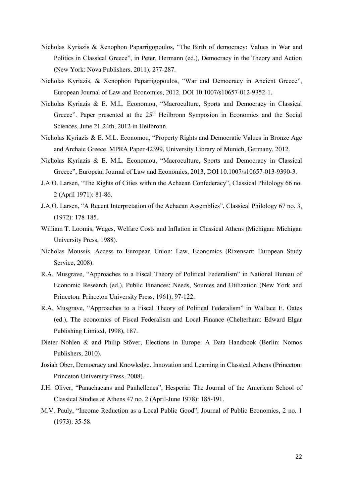- Nicholas Kyriazis & Xenophon Paparrigopoulos, "The Birth of democracy: Values in War and Politics in Classical Greece", in Peter. Hermann (ed.), Democracy in the Theory and Action (New York: Nova Publishers, 2011), 277-287.
- Nicholas Kyriazis, & Xenophon Paparrigopoulos, "War and Democracy in Ancient Greece", European Journal of Law and Economics, 2012, DOI 10.1007/s10657-012-9352-1.
- Nicholas Kyriazis & E. M.L. Economou, "Macroculture, Sports and Democracy in Classical Greece". Paper presented at the 25<sup>th</sup> Heilbronn Symposion in Economics and the Social Sciences, June 21-24th, 2012 in Heilbronn.
- Nicholas Kyriazis & E. M.L. Economou, "Property Rights and Democratic Values in Bronze Age and Archaic Greece. MPRA Paper 42399, University Library of Munich, Germany, 2012.
- Nicholas Kyriazis & E. M.L. Economou, "Macroculture, Sports and Democracy in Classical Greece", European Journal of Law and Economics, 2013, DOI 10.1007/s10657-013-9390-3.
- J.A.O. Larsen, "The Rights of Cities within the Achaean Confederacy", Classical Philology 66 no. 2 (April 1971): 81-86.
- J.A.O. Larsen, "A Recent Interpretation of the Achaean Assemblies", Classical Philology 67 no. 3, (1972): 178-185.
- William T. Loomis, Wages, Welfare Costs and Inflation in Classical Athens (Michigan: Michigan University Press, 1988).
- Nicholas Moussis, Access to European Union: Law, Economics (Rixensart: European Study Service, 2008).
- R.A. Musgrave, "Approaches to a Fiscal Theory of Political Federalism" in National Bureau of Economic Research (ed.), Public Finances: Needs, Sources and Utilization (New York and Princeton: Princeton University Press, 1961), 97-122.
- R.A. Musgrave, "Approaches to a Fiscal Theory of Political Federalism" in Wallace E. Oates (ed.), The economics of Fiscal Federalism and Local Finance (Chelterham: Edward Elgar Publishing Limited, 1998), 187.
- Dieter Nohlen & and Philip Stöver, Elections in Europe: A Data Handbook (Berlin: Nomos Publishers, 2010).
- Josiah Ober, Democracy and Knowledge. Innovation and Learning in Classical Athens (Princeton: Princeton University Press, 2008).
- J.H. Oliver, "Panachaeans and Panhellenes", Hesperia: The Journal of the American School of Classical Studies at Athens 47 no. 2 (April-June 1978): 185-191.
- M.V. Pauly, "Income Reduction as a Local Public Good", Journal of Public Economics, 2 no. 1 (1973): 35-58.